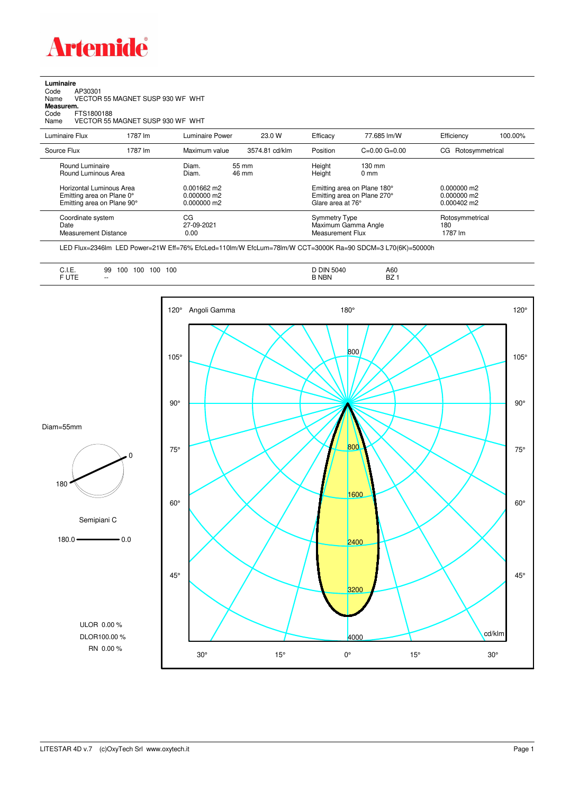

| Luminaire |  |  |
|-----------|--|--|
|           |  |  |

Code AP30301 Name VECTOR 55 MAGNET SUSP 930 WF WHT

**Measurem.**

Code FTS1800188 Name VECTOR 55 MAGNET SUSP 930 WF WHT

| Luminaire Flux                                                                | 1787 lm                                                                                                                                                                                                                                                                                                                                        | Luminaire Power | 23.0 W         | Efficacy                                               | 77.685 lm/W         | Efficiency                        | 100.00% |
|-------------------------------------------------------------------------------|------------------------------------------------------------------------------------------------------------------------------------------------------------------------------------------------------------------------------------------------------------------------------------------------------------------------------------------------|-----------------|----------------|--------------------------------------------------------|---------------------|-----------------------------------|---------|
| Source Flux                                                                   | 1787 lm                                                                                                                                                                                                                                                                                                                                        | Maximum value   | 3574.81 cd/klm | Position                                               | $C=0.00$ $G=0.00$   | Rotosymmetrical<br>CG.            |         |
| Round Luminaire                                                               | Diam.<br>Height<br>$130 \text{ mm}$<br>55 mm<br>Round Luminous Area<br>Diam.<br>Height<br>46 mm<br>$0 \text{ mm}$<br>Horizontal Luminous Area<br>$0.001662$ m2<br>Emitting area on Plane 180°<br>Emitting area on Plane 270°<br>Emitting area on Plane 0°<br>$0.000000$ m2<br>Emitting area on Plane 90°<br>Glare area at 76°<br>$0.000000$ m2 |                 |                | $0.000000$ m2<br>$0.000000$ m2<br>$0.000402 \text{ m}$ |                     |                                   |         |
| CG<br>Coordinate system<br>Date<br>27-09-2021<br>Measurement Distance<br>0.00 |                                                                                                                                                                                                                                                                                                                                                |                 |                | Symmetry Type<br>Measurement Flux                      | Maximum Gamma Angle | Rotosymmetrical<br>180<br>1787 lm |         |

LED Flux=2346lm LED Power=21W Eff=76% EfcLed=110lm/W EfcLum=78lm/W CCT=3000K Ra=90 SDCM=3 L70(6K)=50000h